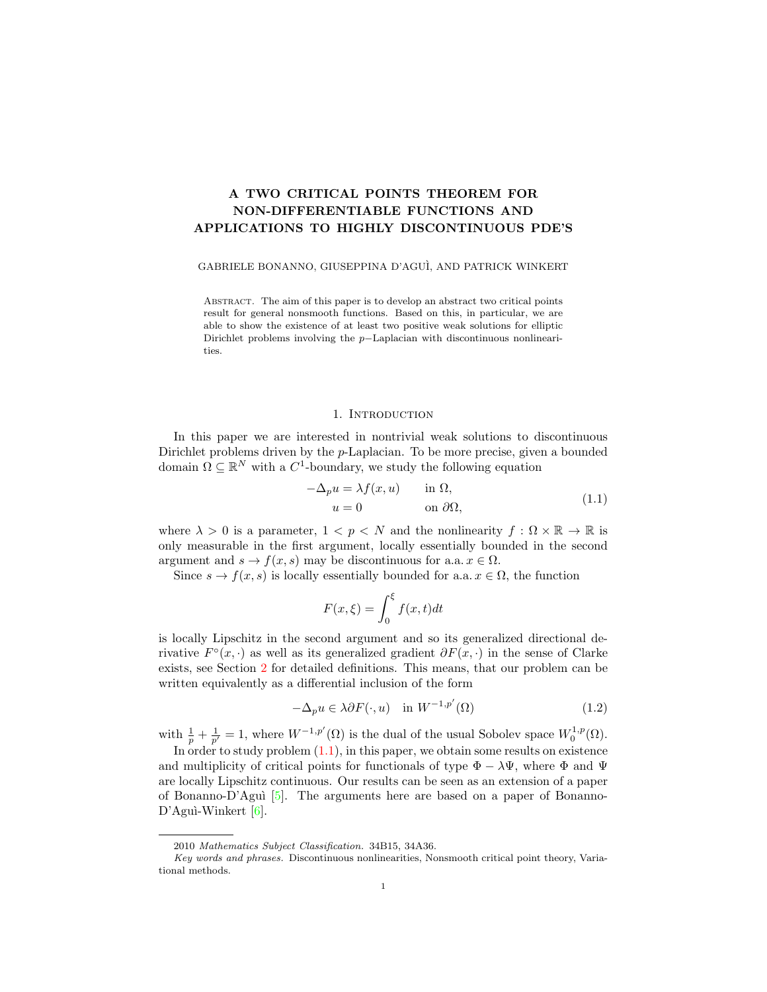# A TWO CRITICAL POINTS THEOREM FOR NON-DIFFERENTIABLE FUNCTIONS AND APPLICATIONS TO HIGHLY DISCONTINUOUS PDE'S

# GABRIELE BONANNO, GIUSEPPINA D'AGU`I, AND PATRICK WINKERT

Abstract. The aim of this paper is to develop an abstract two critical points result for general nonsmooth functions. Based on this, in particular, we are able to show the existence of at least two positive weak solutions for elliptic Dirichlet problems involving the p−Laplacian with discontinuous nonlinearities.

## 1. INTRODUCTION

In this paper we are interested in nontrivial weak solutions to discontinuous Dirichlet problems driven by the *p*-Laplacian. To be more precise, given a bounded domain  $\Omega \subseteq \mathbb{R}^N$  with a  $C^1$ -boundary, we study the following equation

<span id="page-0-0"></span>
$$
-\Delta_p u = \lambda f(x, u) \quad \text{in } \Omega,
$$
  
\n
$$
u = 0 \quad \text{on } \partial\Omega,
$$
\n(1.1)

where  $\lambda > 0$  is a parameter,  $1 < p < N$  and the nonlinearity  $f : \Omega \times \mathbb{R} \to \mathbb{R}$  is only measurable in the first argument, locally essentially bounded in the second argument and  $s \to f(x, s)$  may be discontinuous for a.a.  $x \in \Omega$ .

Since  $s \to f(x, s)$  is locally essentially bounded for a.a.  $x \in \Omega$ , the function

<span id="page-0-1"></span>
$$
F(x,\xi) = \int_0^{\xi} f(x,t)dt
$$

is locally Lipschitz in the second argument and so its generalized directional derivative  $F^{\circ}(x, \cdot)$  as well as its generalized gradient  $\partial F(x, \cdot)$  in the sense of Clarke exists, see Section [2](#page-2-0) for detailed definitions. This means, that our problem can be written equivalently as a differential inclusion of the form

$$
-\Delta_p u \in \lambda \partial F(\cdot, u) \quad \text{in } W^{-1, p'}(\Omega) \tag{1.2}
$$

with  $\frac{1}{p} + \frac{1}{p'} = 1$ , where  $W^{-1,p'}(\Omega)$  is the dual of the usual Sobolev space  $W_0^{1,p}(\Omega)$ .

In order to study problem  $(1.1)$ , in this paper, we obtain some results on existence and multiplicity of critical points for functionals of type  $\Phi - \lambda \Psi$ , where  $\Phi$  and  $\Psi$ are locally Lipschitz continuous. Our results can be seen as an extension of a paper of Bonanno-D'Aguì  $[5]$ . The arguments here are based on a paper of Bonanno- $D'$ Aguì-Winkert [\[6\]](#page-15-1).

<sup>2010</sup> Mathematics Subject Classification. 34B15, 34A36.

Key words and phrases. Discontinuous nonlinearities, Nonsmooth critical point theory, Variational methods.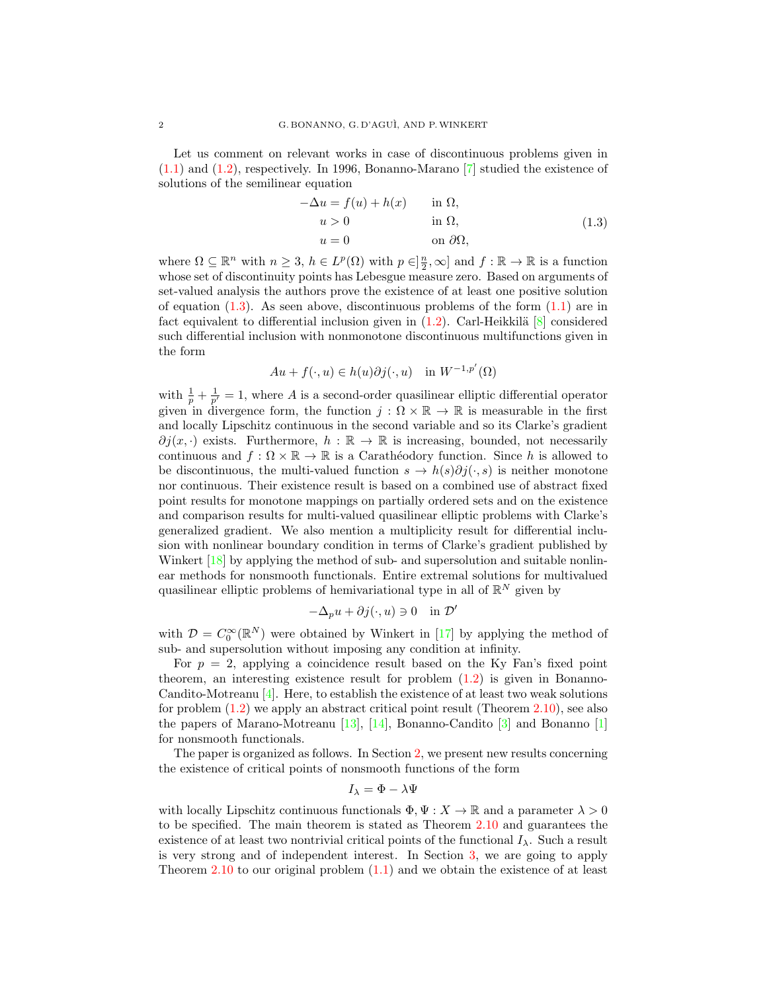Let us comment on relevant works in case of discontinuous problems given in [\(1.1\)](#page-0-0) and [\(1.2\)](#page-0-1), respectively. In 1996, Bonanno-Marano [\[7\]](#page-15-2) studied the existence of solutions of the semilinear equation

<span id="page-1-0"></span>
$$
-\Delta u = f(u) + h(x) \quad \text{in } \Omega,
$$
  
\n
$$
u > 0 \quad \text{in } \Omega,
$$
  
\n
$$
u = 0 \quad \text{on } \partial\Omega,
$$
\n(1.3)

where  $\Omega \subseteq \mathbb{R}^n$  with  $n \geq 3$ ,  $h \in L^p(\Omega)$  with  $p \in ]\frac{n}{2}, \infty]$  and  $f : \mathbb{R} \to \mathbb{R}$  is a function whose set of discontinuity points has Lebesgue measure zero. Based on arguments of set-valued analysis the authors prove the existence of at least one positive solution of equation  $(1.3)$ . As seen above, discontinuous problems of the form  $(1.1)$  are in fact equivalent to differential inclusion given in  $(1.2)$ . Carl-Heikkilä [\[8\]](#page-15-3) considered such differential inclusion with nonmonotone discontinuous multifunctions given in the form

$$
Au + f(\cdot, u) \in h(u)\partial j(\cdot, u) \quad \text{in } W^{-1, p'}(\Omega)
$$

with  $\frac{1}{p} + \frac{1}{p'} = 1$ , where A is a second-order quasilinear elliptic differential operator given in divergence form, the function  $j : \Omega \times \mathbb{R} \to \mathbb{R}$  is measurable in the first and locally Lipschitz continuous in the second variable and so its Clarke's gradient  $\partial j(x, \cdot)$  exists. Furthermore,  $h : \mathbb{R} \to \mathbb{R}$  is increasing, bounded, not necessarily continuous and  $f : \Omega \times \mathbb{R} \to \mathbb{R}$  is a Carathéodory function. Since h is allowed to be discontinuous, the multi-valued function  $s \to h(s)\partial j(\cdot, s)$  is neither monotone nor continuous. Their existence result is based on a combined use of abstract fixed point results for monotone mappings on partially ordered sets and on the existence and comparison results for multi-valued quasilinear elliptic problems with Clarke's generalized gradient. We also mention a multiplicity result for differential inclusion with nonlinear boundary condition in terms of Clarke's gradient published by Winkert [\[18\]](#page-15-4) by applying the method of sub- and supersolution and suitable nonlinear methods for nonsmooth functionals. Entire extremal solutions for multivalued quasilinear elliptic problems of hemivariational type in all of  $\mathbb{R}^N$  given by

$$
-\Delta_p u + \partial j(\cdot, u) \ni 0 \quad \text{in } \mathcal{D}'
$$

with  $\mathcal{D} = C_0^{\infty}(\mathbb{R}^N)$  were obtained by Winkert in [\[17\]](#page-15-5) by applying the method of sub- and supersolution without imposing any condition at infinity.

For  $p = 2$ , applying a coincidence result based on the Ky Fan's fixed point theorem, an interesting existence result for problem [\(1.2\)](#page-0-1) is given in Bonanno-Candito-Motreanu [\[4\]](#page-15-6). Here, to establish the existence of at least two weak solutions for problem [\(1.2\)](#page-0-1) we apply an abstract critical point result (Theorem [2.10\)](#page-6-0), see also the papers of Marano-Motreanu [\[13\]](#page-15-7), [\[14\]](#page-15-8), Bonanno-Candito [\[3\]](#page-14-0) and Bonanno [\[1\]](#page-14-1) for nonsmooth functionals.

The paper is organized as follows. In Section [2,](#page-2-0) we present new results concerning the existence of critical points of nonsmooth functions of the form

$$
I_{\lambda} = \Phi - \lambda \Psi
$$

with locally Lipschitz continuous functionals  $\Phi, \Psi : X \to \mathbb{R}$  and a parameter  $\lambda > 0$ to be specified. The main theorem is stated as Theorem [2.10](#page-6-0) and guarantees the existence of at least two nontrivial critical points of the functional  $I_{\lambda}$ . Such a result is very strong and of independent interest. In Section [3,](#page-8-0) we are going to apply Theorem [2.10](#page-6-0) to our original problem [\(1.1\)](#page-0-0) and we obtain the existence of at least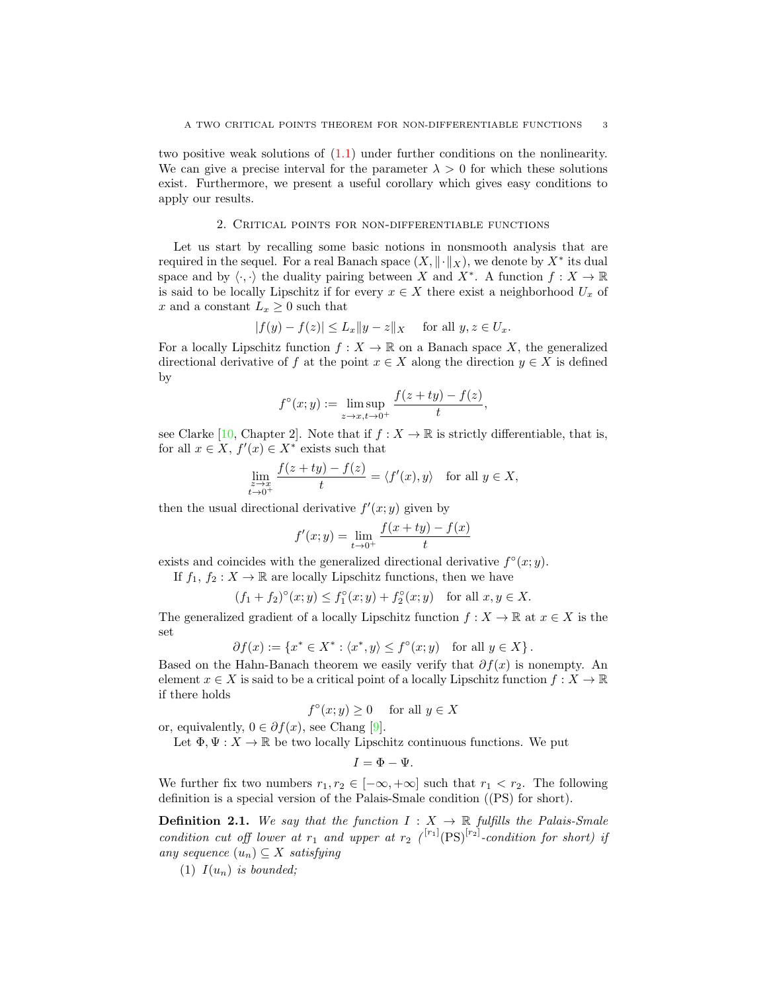two positive weak solutions of [\(1.1\)](#page-0-0) under further conditions on the nonlinearity. We can give a precise interval for the parameter  $\lambda > 0$  for which these solutions exist. Furthermore, we present a useful corollary which gives easy conditions to apply our results.

#### 2. Critical points for non-differentiable functions

<span id="page-2-0"></span>Let us start by recalling some basic notions in nonsmooth analysis that are required in the sequel. For a real Banach space  $(X, \|\cdot\|_X)$ , we denote by  $X^*$  its dual space and by  $\langle \cdot, \cdot \rangle$  the duality pairing between X and  $X^*$ . A function  $f : X \to \mathbb{R}$ is said to be locally Lipschitz if for every  $x \in X$  there exist a neighborhood  $U_x$  of x and a constant  $L_x \geq 0$  such that

$$
|f(y) - f(z)| \le L_x \|y - z\|_X \quad \text{ for all } y, z \in U_x.
$$

For a locally Lipschitz function  $f: X \to \mathbb{R}$  on a Banach space X, the generalized directional derivative of f at the point  $x \in X$  along the direction  $y \in X$  is defined by

$$
f^{\circ}(x; y) := \limsup_{z \to x, t \to 0^+} \frac{f(z + ty) - f(z)}{t},
$$

see Clarke [\[10,](#page-15-9) Chapter 2]. Note that if  $f : X \to \mathbb{R}$  is strictly differentiable, that is, for all  $x \in X$ ,  $f'(x) \in X^*$  exists such that

$$
\lim_{\substack{z \to x \\ t \to 0^+}} \frac{f(z+ty) - f(z)}{t} = \langle f'(x), y \rangle \quad \text{for all } y \in X,
$$

then the usual directional derivative  $f'(x; y)$  given by

$$
f'(x; y) = \lim_{t \to 0^+} \frac{f(x + ty) - f(x)}{t}
$$

exists and coincides with the generalized directional derivative  $f^{\circ}(x; y)$ .

If  $f_1, f_2 : X \to \mathbb{R}$  are locally Lipschitz functions, then we have

$$
(f_1 + f_2)^{\circ}(x; y) \le f_1^{\circ}(x; y) + f_2^{\circ}(x; y)
$$
 for all  $x, y \in X$ .

The generalized gradient of a locally Lipschitz function  $f: X \to \mathbb{R}$  at  $x \in X$  is the set

$$
\partial f(x) := \{ x^* \in X^* : \langle x^*, y \rangle \le f^{\circ}(x; y) \quad \text{for all } y \in X \}.
$$

Based on the Hahn-Banach theorem we easily verify that  $\partial f(x)$  is nonempty. An element  $x \in X$  is said to be a critical point of a locally Lipschitz function  $f: X \to \mathbb{R}$ if there holds

$$
f^{\circ}(x; y) \ge 0 \quad \text{ for all } y \in X
$$

or, equivalently,  $0 \in \partial f(x)$ , see Chang [\[9\]](#page-15-10).

Let  $\Phi, \Psi : X \to \mathbb{R}$  be two locally Lipschitz continuous functions. We put

 $I = \Phi - \Psi.$ 

We further fix two numbers  $r_1, r_2 \in [-\infty, +\infty]$  such that  $r_1 < r_2$ . The following definition is a special version of the Palais-Smale condition ((PS) for short).

<span id="page-2-1"></span>**Definition 2.1.** We say that the function  $I: X \rightarrow \mathbb{R}$  fulfills the Palais-Smale condition cut off lower at  $r_1$  and upper at  $r_2$  (<sup>[r<sub>1</sub>]</sup>(PS)<sup>[r<sub>2</sub>]</sup>-condition for short) if any sequence  $(u_n) \subseteq X$  satisfying

(1)  $I(u_n)$  is bounded: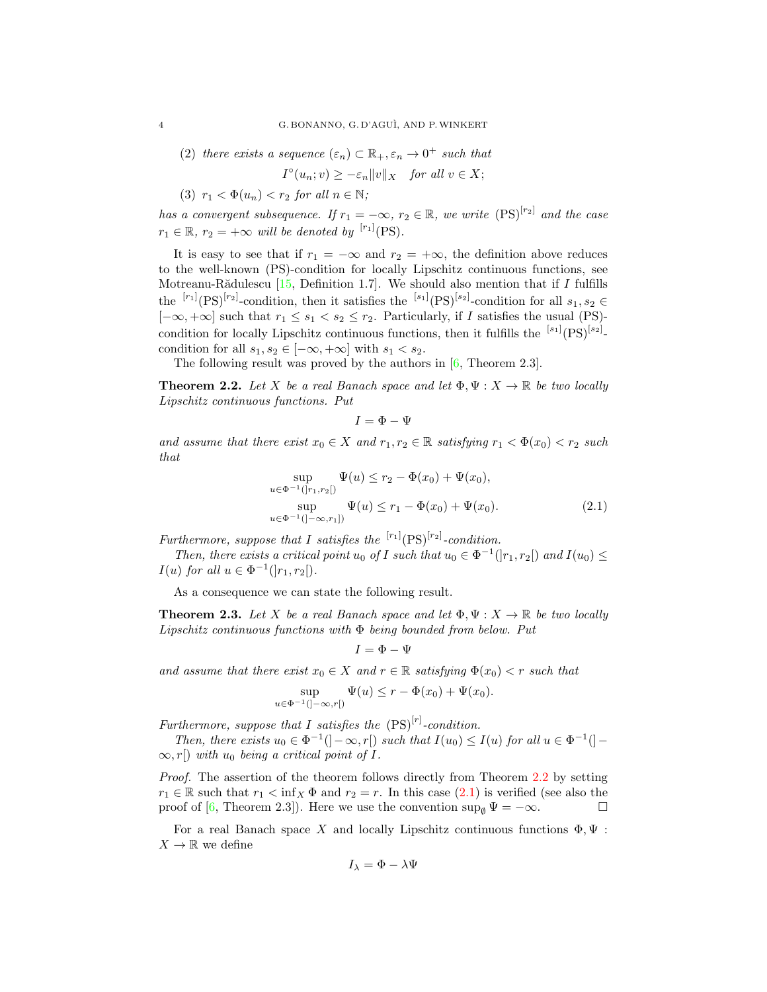(2) there exists a sequence  $(\varepsilon_n) \subset \mathbb{R}_+, \varepsilon_n \to 0^+$  such that

$$
I^{\circ}(u_n; v) \ge -\varepsilon_n \|v\|_X \quad \text{for all } v \in X;
$$

(3)  $r_1 < \Phi(u_n) < r_2$  for all  $n \in \mathbb{N}$ ;

has a convergent subsequence. If  $r_1 = -\infty$ ,  $r_2 \in \mathbb{R}$ , we write  $(PS)^{[r_2]}$  and the case  $r_1 \in \mathbb{R}, r_2 = +\infty$  will be denoted by <sup>[r<sub>1</sub>]</sup>(PS).

It is easy to see that if  $r_1 = -\infty$  and  $r_2 = +\infty$ , the definition above reduces to the well-known (PS)-condition for locally Lipschitz continuous functions, see Motreanu-Rădulescu  $[15,$  Definition 1.7]. We should also mention that if I fulfills the  $\frac{[r_1]}{(PS)}^{[r_2]}$ -condition, then it satisfies the  $\frac{[s_1]}{(PS)}^{[s_2]}$ -condition for all  $s_1, s_2 \in$  $[-\infty, +\infty]$  such that  $r_1 \leq s_1 < s_2 \leq r_2$ . Particularly, if I satisfies the usual (PS)condition for locally Lipschitz continuous functions, then it fulfills the  $[{}^{s_1}]$  $(PS)^{[s_2]}$ . condition for all  $s_1, s_2 \in [-\infty, +\infty]$  with  $s_1 < s_2$ .

The following result was proved by the authors in  $[6,$  Theorem 2.3].

<span id="page-3-0"></span>**Theorem 2.2.** Let X be a real Banach space and let  $\Phi, \Psi : X \to \mathbb{R}$  be two locally Lipschitz continuous functions. Put

<span id="page-3-1"></span> $I = \Phi - \Psi$ 

and assume that there exist  $x_0 \in X$  and  $r_1, r_2 \in \mathbb{R}$  satisfying  $r_1 < \Phi(x_0) < r_2$  such that

$$
\sup_{u \in \Phi^{-1}(|r_1, r_2|)} \Psi(u) \le r_2 - \Phi(x_0) + \Psi(x_0),
$$
  
\n
$$
\sup_{u \in \Phi^{-1}(|-\infty, r_1|)} \Psi(u) \le r_1 - \Phi(x_0) + \Psi(x_0).
$$
\n(2.1)

Furthermore, suppose that I satisfies the  $\binom{[r_1]}{[PS]}$ -condition.

Then, there exists a critical point  $u_0$  of I such that  $u_0 \in \Phi^{-1}(|r_1, r_2|)$  and  $I(u_0) \leq$  $I(u)$  for all  $u \in \Phi^{-1}(|r_1, r_2|)$ .

As a consequence we can state the following result.

<span id="page-3-2"></span>**Theorem 2.3.** Let X be a real Banach space and let  $\Phi, \Psi : X \to \mathbb{R}$  be two locally Lipschitz continuous functions with  $\Phi$  being bounded from below. Put

$$
I=\Phi-\Psi
$$

and assume that there exist  $x_0 \in X$  and  $r \in \mathbb{R}$  satisfying  $\Phi(x_0) < r$  such that

$$
\sup_{u \in \Phi^{-1}(]-\infty, r[)} \Psi(u) \le r - \Phi(x_0) + \Psi(x_0).
$$

Furthermore, suppose that I satisfies the  $(PS)^{[r]}$ -condition.

Then, there exists  $u_0 \in \Phi^{-1}(\cdot - \infty, r]$  such that  $I(u_0) \leq I(u)$  for all  $u \in \Phi^{-1}(\cdot - \cdot)$  $\infty$ , r[) with  $u_0$  being a critical point of I.

Proof. The assertion of the theorem follows directly from Theorem [2.2](#page-3-0) by setting  $r_1 \in \mathbb{R}$  such that  $r_1 < \inf_X \Phi$  and  $r_2 = r$ . In this case [\(2.1\)](#page-3-1) is verified (see also the proof of [\[6,](#page-15-1) Theorem 2.3]). Here we use the convention  $\sup_{\emptyset} \Psi = -\infty$ .

For a real Banach space X and locally Lipschitz continuous functions  $\Phi, \Psi$ :  $X \to \mathbb{R}$  we define

$$
I_{\lambda} = \Phi - \lambda \Psi
$$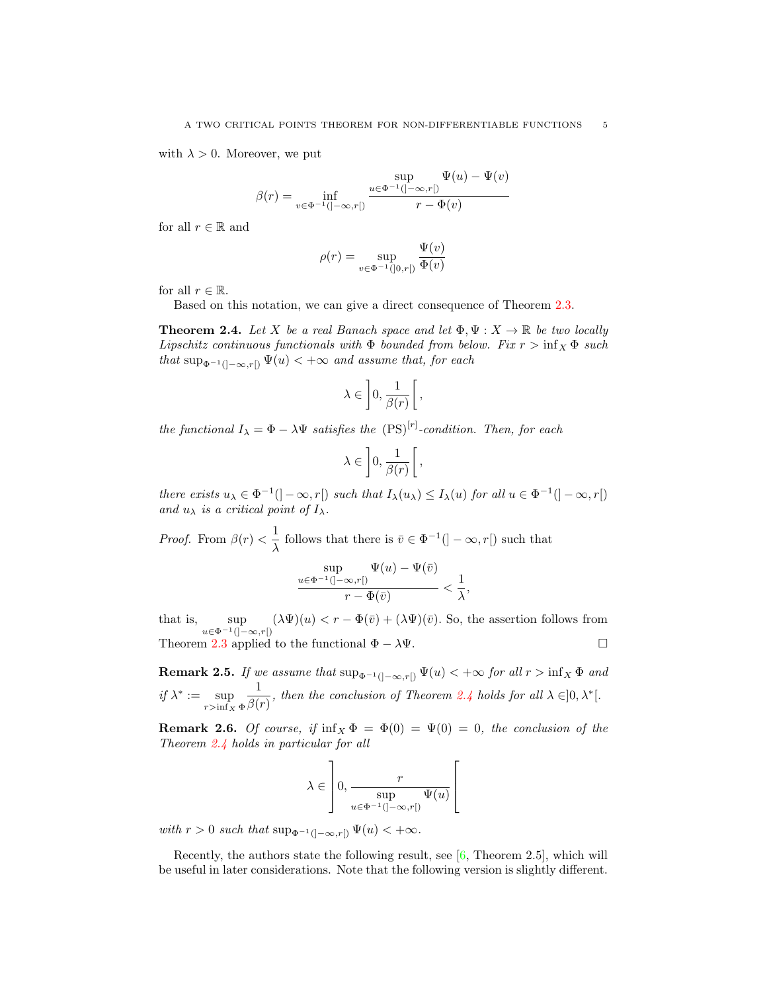with  $\lambda > 0$ . Moreover, we put

$$
\beta(r) = \inf_{v \in \Phi^{-1}(]-\infty, r[)} \frac{\sup}{r - \Phi(v)} \frac{\Psi(u) - \Psi(v)}{v - \Phi(v)}
$$

for all  $r \in \mathbb{R}$  and

$$
\rho(r) = \sup_{v \in \Phi^{-1}(]0, r[)} \frac{\Psi(v)}{\Phi(v)}
$$

for all  $r \in \mathbb{R}$ .

Based on this notation, we can give a direct consequence of Theorem [2.3.](#page-3-2)

<span id="page-4-0"></span>**Theorem 2.4.** Let X be a real Banach space and let  $\Phi, \Psi : X \to \mathbb{R}$  be two locally Lipschitz continuous functionals with  $\Phi$  bounded from below. Fix  $r > \inf_X \Phi$  such that  $\sup_{\Phi^{-1}(]-\infty,r[)} \Psi(u) < +\infty$  and assume that, for each

$$
\lambda \in \left]0, \frac{1}{\beta(r)}\right[,
$$

the functional  $I_{\lambda} = \Phi - \lambda \Psi$  satisfies the  $(PS)^{[r]}$ -condition. Then, for each

$$
\lambda \in \left]0, \frac{1}{\beta(r)}\right[,
$$

there exists  $u_{\lambda} \in \Phi^{-1}([-\infty, r])$  such that  $I_{\lambda}(u_{\lambda}) \leq I_{\lambda}(u)$  for all  $u \in \Phi^{-1}([-\infty, r])$ and  $u_{\lambda}$  is a critical point of  $I_{\lambda}$ .

*Proof.* From  $\beta(r) < \frac{1}{r}$  $\frac{1}{\lambda}$  follows that there is  $\bar{v} \in \Phi^{-1}([-\infty, r])$  such that

$$
\frac{\sup}{u \in \Phi^{-1}(\left]-\infty, r\right)} \frac{\Psi(u) - \Psi(\bar{v})}{r - \Phi(\bar{v})} < \frac{1}{\lambda},
$$

that is, sup  $u \in \Phi^{-1}([- \infty, r])$  $(\lambda \Psi)(u) < r - \Phi(\bar{v}) + (\lambda \Psi)(\bar{v})$ . So, the assertion follows from Theorem [2.3](#page-3-2) applied to the functional  $\Phi - \lambda \Psi$ .

<span id="page-4-2"></span>**Remark 2.5.** If we assume that  $\sup_{\Phi^{-1}(]-\infty,r[)} \Psi(u) < +\infty$  for all  $r > \inf_X \Phi$  and if  $\lambda^* := \sup$  $r>\inf_X \Phi$ 1  $\frac{1}{\beta(r)}$ , then the conclusion of Theorem [2.4](#page-4-0) holds for all  $\lambda \in ]0, \lambda^*[$ .

<span id="page-4-1"></span>**Remark 2.6.** Of course, if  $\inf_{X} \Phi = \Phi(0) = \Psi(0) = 0$ , the conclusion of the Theorem [2.4](#page-4-0) holds in particular for all

$$
\lambda\in\left]0,\dfrac{r}{\displaystyle\sup_{u\in\Phi^{-1}(]-\infty,r[)}\Psi(u)}\right[
$$

with  $r > 0$  such that  $\sup_{\Phi^{-1}(]-\infty,r[)} \Psi(u) < +\infty$ .

Recently, the authors state the following result, see [\[6,](#page-15-1) Theorem 2.5], which will be useful in later considerations. Note that the following version is slightly different.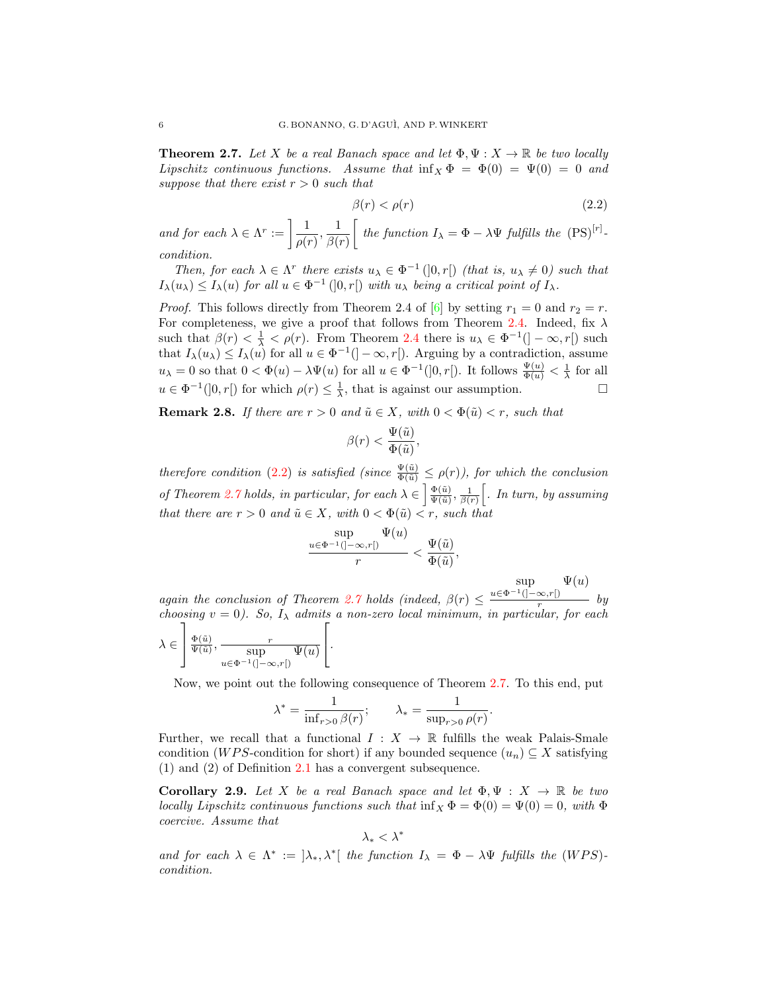<span id="page-5-1"></span>**Theorem 2.7.** Let X be a real Banach space and let  $\Phi, \Psi : X \to \mathbb{R}$  be two locally Lipschitz continuous functions. Assume that  $\inf_{X} \Phi = \Phi(0) = \Psi(0) = 0$  and suppose that there exist  $r > 0$  such that

<span id="page-5-0"></span>
$$
\beta(r) < \rho(r) \tag{2.2}
$$

and for each  $\lambda \in \Lambda^r := \left[ \frac{1}{\lambda} \right]$  $\frac{1}{\rho(r)}, \frac{1}{\beta(r)}$  $\beta(r)$  $\int$  the function  $I_{\lambda} = \Phi - \lambda \Psi$  fulfills the  $(PS)^{[r]}$ . condition.

Then, for each  $\lambda \in \Lambda^r$  there exists  $u_{\lambda} \in \Phi^{-1}(]0, r[)$  (that is,  $u_{\lambda} \neq 0$ ) such that  $I_{\lambda}(u_{\lambda}) \leq I_{\lambda}(u)$  for all  $u \in \Phi^{-1}(]0, r[)$  with  $u_{\lambda}$  being a critical point of  $I_{\lambda}$ .

*Proof.* This follows directly from Theorem 2.4 of [\[6\]](#page-15-1) by setting  $r_1 = 0$  and  $r_2 = r$ . For completeness, we give a proof that follows from Theorem [2.4.](#page-4-0) Indeed, fix  $\lambda$ such that  $\beta(r) < \frac{1}{\lambda} < \rho(r)$ . From Theorem [2.4](#page-4-0) there is  $u_{\lambda} \in \Phi^{-1}(|-\infty, r|)$  such that  $I_{\lambda}(u_{\lambda}) \leq I_{\lambda}(u)$  for all  $u \in \Phi^{-1}([-\infty, r])$ . Arguing by a contradiction, assume  $u_{\lambda} = 0$  so that  $0 < \Phi(u) - \lambda \Psi(u)$  for all  $u \in \Phi^{-1}(]0, r[$ ). It follows  $\frac{\Psi(u)}{\Phi(u)} < \frac{1}{\lambda}$  for all  $u \in \Phi^{-1}(]0,r[)$  for which  $\rho(r) \leq \frac{1}{\lambda}$ , that is against our assumption.

<span id="page-5-2"></span>**Remark 2.8.** If there are  $r > 0$  and  $\tilde{u} \in X$ , with  $0 < \Phi(\tilde{u}) < r$ , such that

$$
\beta(r) < \frac{\Psi(\tilde{u})}{\Phi(\tilde{u})},
$$

therefore condition [\(2.2\)](#page-5-0) is satisfied (since  $\frac{\Psi(\tilde{u})}{\Phi(\tilde{u})} \leq \rho(r)$ ), for which the conclusion of Theorem [2.7](#page-5-1) holds, in particular, for each  $\lambda \in \left[\frac{\Phi(\tilde{u})}{\Psi(\tilde{u})}\right]$  $\frac{\Phi(\tilde u)}{\Psi(\tilde u)}, \frac{1}{\beta(r)}\Big[$ . In turn, by assuming that there are  $r > 0$  and  $\tilde{u} \in X$ , with  $0 < \Phi(\tilde{u}) < r$ , such that

$$
\frac{\sup}{r} \frac{\Psi(u)}{r} < \frac{\Psi(\tilde{u})}{\Phi(\tilde{u})},
$$

sup  $\Psi(u)$ 

again the conclusion of Theorem [2.7](#page-5-1) holds (indeed,  $\beta(r) \leq$  $u \in \Phi^{-1}([- \infty, r])$  $\frac{\infty, r}{}$  by choosing  $v = 0$ ). So,  $I_{\lambda}$  admits a non-zero local minimum, in particular, for each  $\lambda \in$ 1  $\frac{\Phi(\tilde{u})}{\Psi(\tilde{u})}$  $\frac{\Phi(\tilde u)}{\Psi(\tilde u)}, \frac{r}{\sup} \frac{}{\Psi(u)}$  $u \in \Phi^{-1}([- \infty, r])$  $\sqrt{ }$  $\vert \cdot$ 

Now, we point out the following consequence of Theorem [2.7.](#page-5-1) To this end, put

$$
\lambda^* = \frac{1}{\inf_{r>0} \beta(r)}; \qquad \lambda_* = \frac{1}{\sup_{r>0} \rho(r)}.
$$

Further, we recall that a functional  $I : X \to \mathbb{R}$  fulfills the weak Palais-Smale condition (W PS-condition for short) if any bounded sequence  $(u_n) \subseteq X$  satisfying (1) and (2) of Definition [2.1](#page-2-1) has a convergent subsequence.

<span id="page-5-3"></span>Corollary 2.9. Let X be a real Banach space and let  $\Phi, \Psi : X \to \mathbb{R}$  be two locally Lipschitz continuous functions such that  $\inf_X \Phi = \Phi(0) = \Psi(0) = 0$ , with  $\Phi$ coercive. Assume that

$$
\lambda_*<\lambda^*
$$

and for each  $\lambda \in \Lambda^* := [\lambda_*, \lambda^*]$  the function  $I_{\lambda} = \Phi - \lambda \Psi$  fulfills the (WPS)condition.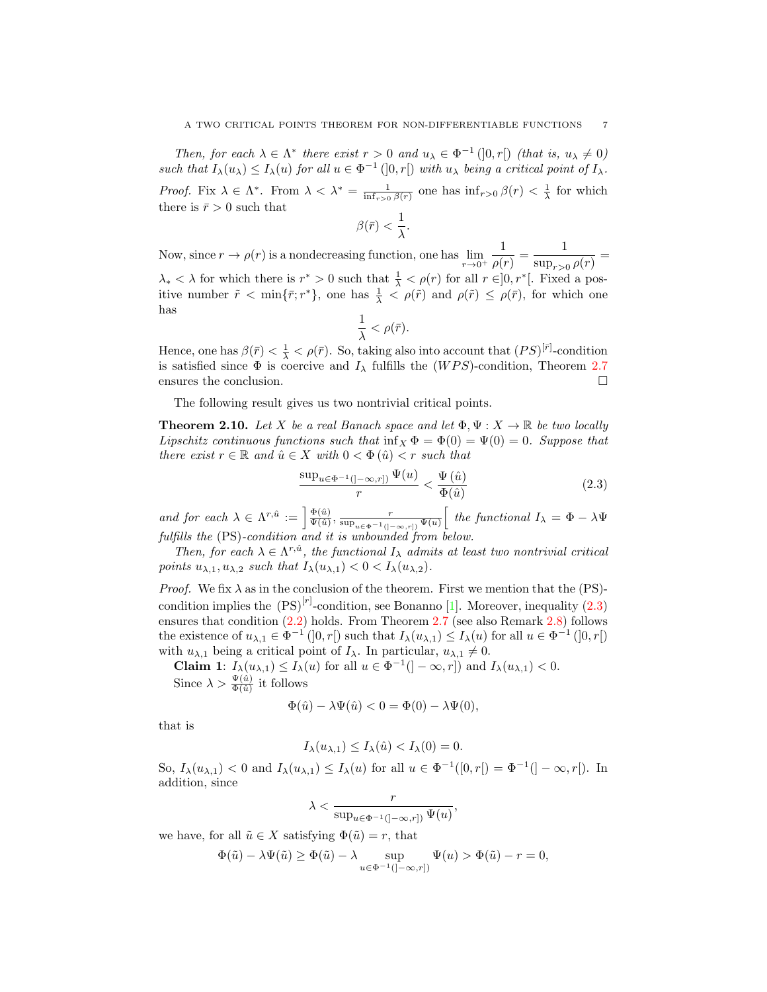Then, for each  $\lambda \in \Lambda^*$  there exist  $r > 0$  and  $u_{\lambda} \in \Phi^{-1}(]0, r[)$  (that is,  $u_{\lambda} \neq 0$ ) such that  $I_{\lambda}(u_{\lambda}) \leq I_{\lambda}(u)$  for all  $u \in \Phi^{-1}(0,r)$  with  $u_{\lambda}$  being a critical point of  $I_{\lambda}$ . Proof. Fix  $\lambda \in \Lambda^*$ . From  $\lambda < \lambda^* = \frac{1}{\inf_{r>0} \beta(r)}$  one has  $\inf_{r>0} \beta(r) < \frac{1}{\lambda}$  for which there is  $\bar{r} > 0$  such that

$$
\beta(\bar{r}) < \frac{1}{\lambda}.
$$

Now, since  $r \to \rho(r)$  is a nondecreasing function, one has  $\lim_{r \to 0^+}$ 1  $\frac{1}{\rho(r)} = \frac{1}{\sup_{r>(r)}$  $\frac{1}{\sup_{r>0}\rho(r)}=$  $\lambda_* < \lambda$  for which there is  $r^* > 0$  such that  $\frac{1}{\lambda} < \rho(r)$  for all  $r \in ]0, r^*[$ . Fixed a positive number  $\tilde{r} < \min{\{\bar{r};r^*\}}$ , one has  $\frac{1}{\lambda} < \rho(\tilde{r})$  and  $\rho(\tilde{r}) \le \rho(\bar{r})$ , for which one has

<span id="page-6-1"></span>
$$
\frac{1}{\lambda}<\rho(\bar{r}).
$$

Hence, one has  $\beta(\bar{r}) < \frac{1}{\lambda} < \rho(\bar{r})$ . So, taking also into account that  $(PS)^{[\bar{r}]}$ -condition is satisfied since  $\Phi$  is coercive and  $I_{\lambda}$  fulfills the (WPS)-condition, Theorem [2.7](#page-5-1) ensures the conclusion.

The following result gives us two nontrivial critical points.

<span id="page-6-0"></span>**Theorem 2.10.** Let X be a real Banach space and let  $\Phi, \Psi: X \to \mathbb{R}$  be two locally Lipschitz continuous functions such that  $\inf_X \Phi = \Phi(0) = \Psi(0) = 0$ . Suppose that there exist  $r \in \mathbb{R}$  and  $\hat{u} \in X$  with  $0 < \Phi(\hat{u}) < r$  such that

$$
\frac{\sup_{u \in \Phi^{-1}(]-\infty, r])} \Psi(u)}{r} < \frac{\Psi(\hat{u})}{\Phi(\hat{u})} \tag{2.3}
$$

and for each  $\lambda \in \Lambda^{r,\hat{u}} := \frac{\Phi(\hat{u})}{\Psi(\hat{u})}$  $\frac{\Phi(\hat{u})}{\Psi(\hat{u})}, \frac{r}{\sup_{u\in\Phi^{-1}(]-\infty, r])}\Psi(u)}$  $\int$  the functional  $I_{\lambda} = \Phi - \lambda \Psi$ fulfills the (PS)-condition and it is unbounded from below.

Then, for each  $\lambda \in \Lambda^{r,\hat{u}}$ , the functional  $I_{\lambda}$  admits at least two nontrivial critical points  $u_{\lambda,1}, u_{\lambda,2}$  such that  $I_{\lambda}(u_{\lambda,1}) < 0 < I_{\lambda}(u_{\lambda,2})$ .

*Proof.* We fix  $\lambda$  as in the conclusion of the theorem. First we mention that the (PS)condition implies the  $(PS)^{[r]}$ -condition, see Bonanno [\[1\]](#page-14-1). Moreover, inequality [\(2.3\)](#page-6-1) ensures that condition [\(2.2\)](#page-5-0) holds. From Theorem [2.7](#page-5-1) (see also Remark [2.8\)](#page-5-2) follows the existence of  $u_{\lambda,1} \in \Phi^{-1}(]0,r[)$  such that  $I_{\lambda}(u_{\lambda,1}) \leq I_{\lambda}(u)$  for all  $u \in \Phi^{-1}(]0,r[)$ with  $u_{\lambda,1}$  being a critical point of  $I_{\lambda}$ . In particular,  $u_{\lambda,1} \neq 0$ .

**Claim 1:**  $I_{\lambda}(u_{\lambda,1}) \leq I_{\lambda}(u)$  for all  $u \in \Phi^{-1}([-\infty,r])$  and  $I_{\lambda}(u_{\lambda,1}) < 0$ . Since  $\lambda > \frac{\Psi(\hat{u})}{\Phi(\hat{u})}$  it follows

$$
\Phi(\hat{u}) - \lambda \Psi(\hat{u}) < 0 = \Phi(0) - \lambda \Psi(0),
$$

that is

$$
I_{\lambda}(u_{\lambda,1}) \leq I_{\lambda}(\hat{u}) < I_{\lambda}(0) = 0.
$$

So,  $I_{\lambda}(u_{\lambda,1}) < 0$  and  $I_{\lambda}(u_{\lambda,1}) \leq I_{\lambda}(u)$  for all  $u \in \Phi^{-1}([0,r]) = \Phi^{-1}(]-\infty,r[).$  In addition, since

$$
\lambda < \frac{r}{\sup_{u \in \Phi^{-1}(]-\infty,r])} \Psi(u)},
$$

we have, for all  $\tilde{u} \in X$  satisfying  $\Phi(\tilde{u}) = r$ , that

$$
\Phi(\tilde{u}) - \lambda \Psi(\tilde{u}) \ge \Phi(\tilde{u}) - \lambda \sup_{u \in \Phi^{-1}(]-\infty, r])} \Psi(u) > \Phi(\tilde{u}) - r = 0,
$$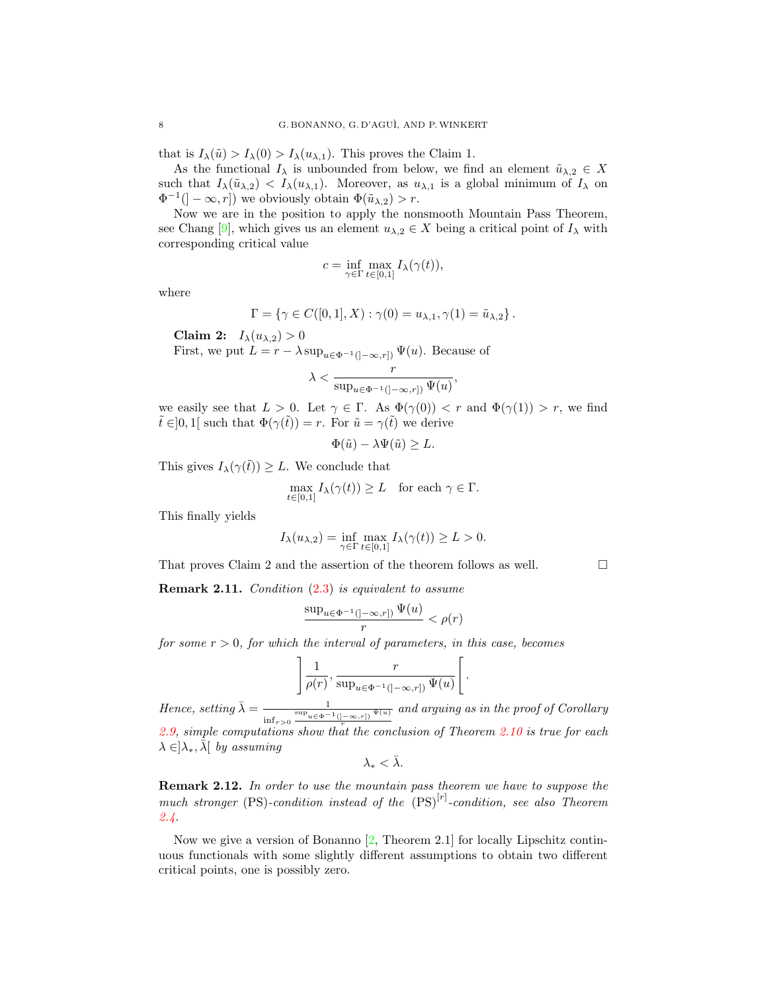that is  $I_{\lambda}(\tilde{u}) > I_{\lambda}(0) > I_{\lambda}(u_{\lambda,1})$ . This proves the Claim 1.

As the functional  $I_\lambda$  is unbounded from below, we find an element  $\tilde{u}_{\lambda,2} \in X$ such that  $I_{\lambda}(\tilde{u}_{\lambda,2}) < I_{\lambda}(u_{\lambda,1})$ . Moreover, as  $u_{\lambda,1}$  is a global minimum of  $I_{\lambda}$  on  $\Phi^{-1}([- \infty, r])$  we obviously obtain  $\Phi(\tilde{u}_{\lambda,2}) > r$ .

Now we are in the position to apply the nonsmooth Mountain Pass Theorem, see Chang [\[9\]](#page-15-10), which gives us an element  $u_{\lambda,2} \in X$  being a critical point of  $I_\lambda$  with corresponding critical value

$$
c = \inf_{\gamma \in \Gamma} \max_{t \in [0,1]} I_{\lambda}(\gamma(t)),
$$

where

$$
\Gamma = \{ \gamma \in C([0,1], X) : \gamma(0) = u_{\lambda,1}, \gamma(1) = \tilde{u}_{\lambda,2} \}.
$$

Claim 2:  $I_{\lambda}(u_{\lambda,2}) > 0$ First, we put  $L = r - \lambda \sup_{u \in \Phi^{-1}(\{-\infty, r\})} \Psi(u)$ . Because of  $\lambda < \frac{r}{\sqrt{r}}$  $\frac{\partial}{\partial \sup_{u \in \Phi^{-1}(]-\infty,r])} \Psi(u)},$ 

we easily see that 
$$
L > 0
$$
. Let  $\gamma \in \Gamma$ . As  $\Phi(\gamma(0)) < r$  and  $\Phi(\gamma(1)) > r$ , we find  $\tilde{t} \in ]0,1[$  such that  $\Phi(\gamma(\tilde{t})) = r$ . For  $\tilde{u} = \gamma(\tilde{t})$  we derive

$$
\Phi(\tilde{u}) - \lambda \Psi(\tilde{u}) \ge L.
$$

This gives  $I_{\lambda}(\gamma(\tilde{t})) \geq L$ . We conclude that

$$
\max_{t \in [0,1]} I_{\lambda}(\gamma(t)) \ge L \quad \text{for each } \gamma \in \Gamma.
$$

This finally yields

$$
I_{\lambda}(u_{\lambda,2}) = \inf_{\gamma \in \Gamma} \max_{t \in [0,1]} I_{\lambda}(\gamma(t)) \geq L > 0.
$$

That proves Claim 2 and the assertion of the theorem follows as well.  $\Box$ 

Remark 2.11. Condition [\(2.3\)](#page-6-1) is equivalent to assume

$$
\frac{\sup_{u \in \Phi^{-1}(]-\infty,r])} \Psi(u)}{r} < \rho(r)
$$

for some  $r > 0$ , for which the interval of parameters, in this case, becomes

$$
\left] \frac{1}{\rho(r)}, \frac{r}{\sup_{u \in \Phi^{-1}(]-\infty, r])} \Psi(u)} \right[.
$$

Hence, setting  $\bar{\lambda} = \frac{1}{\sinh 2\pi i}$  $\inf_{r>0} \frac{\sup_{u \in \Phi^{-1}([-\infty,r])} \Psi(u)}{r}$ and arguing as in the proof of Corollary [2.9,](#page-5-3) simple computations show that the conclusion of Theorem [2.10](#page-6-0) is true for each  $\lambda \in ]\lambda_*, \lambda[$  by assuming

 $\lambda_* < \bar{\lambda}.$ 

Remark 2.12. In order to use the mountain pass theorem we have to suppose the much stronger (PS)-condition instead of the  $(PS)^{[r]}$ -condition, see also Theorem [2.4.](#page-4-0)

Now we give a version of Bonanno  $[2,$  Theorem 2.1] for locally Lipschitz continuous functionals with some slightly different assumptions to obtain two different critical points, one is possibly zero.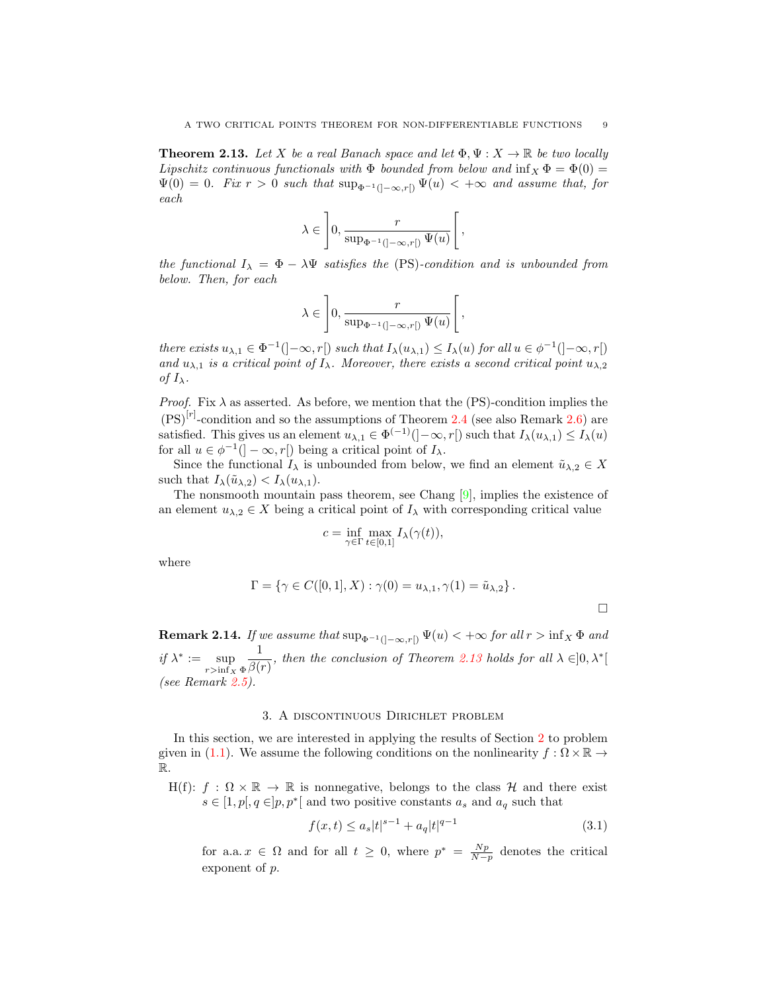<span id="page-8-1"></span>**Theorem 2.13.** Let X be a real Banach space and let  $\Phi, \Psi : X \to \mathbb{R}$  be two locally Lipschitz continuous functionals with  $\Phi$  bounded from below and  $\inf_X \Phi = \Phi(0) =$  $\Psi(0) = 0$ . Fix  $r > 0$  such that  $\sup_{\Phi^{-1}(]-\infty,r[)} \Psi(u) < +\infty$  and assume that, for each

$$
\lambda \in \left]0, \frac{r}{\sup_{\Phi^{-1}(]-\infty, r[)} \Psi(u)}\right[,
$$

the functional  $I_{\lambda} = \Phi - \lambda \Psi$  satisfies the (PS)-condition and is unbounded from below. Then, for each

$$
\lambda \in \left]0, \frac{r}{\sup_{\Phi^{-1}(]-\infty, r[)} \Psi(u)}\right[,
$$

there exists  $u_{\lambda,1} \in \Phi^{-1}(\cdot - \infty, r]$  such that  $I_{\lambda}(u_{\lambda,1}) \leq I_{\lambda}(u)$  for all  $u \in \phi^{-1}(\cdot - \infty, r]$ and  $u_{\lambda,1}$  is a critical point of  $I_\lambda$ . Moreover, there exists a second critical point  $u_{\lambda,2}$ of  $I_{\lambda}$ .

*Proof.* Fix  $\lambda$  as asserted. As before, we mention that the (PS)-condition implies the  $(PS)^{[r]}$ -condition and so the assumptions of Theorem [2.4](#page-4-0) (see also Remark [2.6\)](#page-4-1) are satisfied. This gives us an element  $u_{\lambda,1} \in \Phi^{(-1)}(]-\infty,r[)$  such that  $I_{\lambda}(u_{\lambda,1}) \leq I_{\lambda}(u)$ for all  $u \in \phi^{-1}(\mathcal{C} - \infty, r[\mathcal{C}])$  being a critical point of  $I_{\lambda}$ .

Since the functional  $I_{\lambda}$  is unbounded from below, we find an element  $\tilde{u}_{\lambda,2} \in X$ such that  $I_{\lambda}(\tilde{u}_{\lambda,2}) < I_{\lambda}(u_{\lambda,1}).$ 

The nonsmooth mountain pass theorem, see Chang [\[9\]](#page-15-10), implies the existence of an element  $u_{\lambda,2} \in X$  being a critical point of  $I_\lambda$  with corresponding critical value

$$
c = \inf_{\gamma \in \Gamma} \max_{t \in [0,1]} I_{\lambda}(\gamma(t)),
$$

where

$$
\Gamma = \{ \gamma \in C([0, 1], X) : \gamma(0) = u_{\lambda, 1}, \gamma(1) = \tilde{u}_{\lambda, 2} \}.
$$

**Remark 2.14.** If we assume that  $\sup_{\Phi^{-1}(]-\infty,r[)} \Psi(u) < +\infty$  for all  $r > \inf_{X} \Phi$  and if  $\lambda^* := \sup$  $r>\inf_X \Phi$ 1  $\frac{1}{\beta(r)}$ , then the conclusion of Theorem [2.13](#page-8-1) holds for all  $\lambda \in ]0, \lambda^*[$ (see Remark [2.5\)](#page-4-2).

# 3. A discontinuous Dirichlet problem

<span id="page-8-0"></span>In this section, we are interested in applying the results of Section [2](#page-2-0) to problem given in [\(1.1\)](#page-0-0). We assume the following conditions on the nonlinearity  $f : \Omega \times \mathbb{R} \to$ R.

H(f):  $f : \Omega \times \mathbb{R} \to \mathbb{R}$  is nonnegative, belongs to the class H and there exist  $s \in [1, p], q \in ]p, p^*[$  and two positive constants  $a_s$  and  $a_q$  such that

<span id="page-8-2"></span>
$$
f(x,t) \le a_s |t|^{s-1} + a_q |t|^{q-1}
$$
\n(3.1)

for a.a.  $x \in \Omega$  and for all  $t \geq 0$ , where  $p^* = \frac{Np}{N-p}$  denotes the critical exponent of p.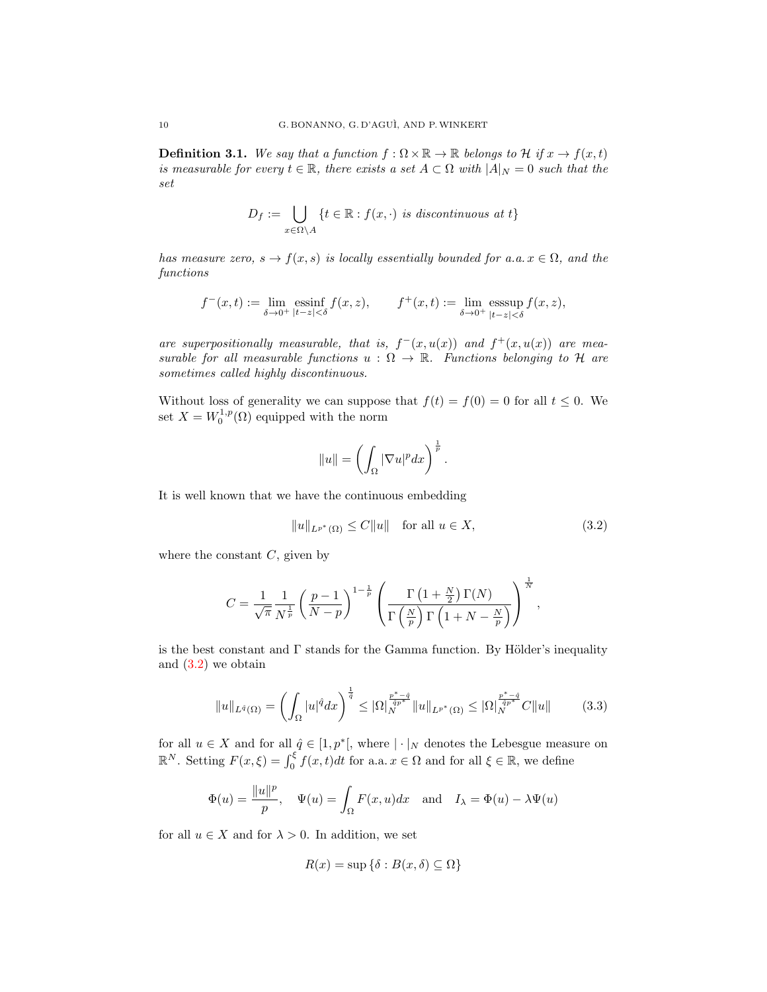**Definition 3.1.** We say that a function  $f : \Omega \times \mathbb{R} \to \mathbb{R}$  belongs to H if  $x \to f(x,t)$ is measurable for every  $t \in \mathbb{R}$ , there exists a set  $A \subset \Omega$  with  $|A|_N = 0$  such that the set

$$
D_f := \bigcup_{x \in \Omega \setminus A} \{t \in \mathbb{R} : f(x, \cdot) \text{ is discontinuous at } t\}
$$

has measure zero,  $s \to f(x, s)$  is locally essentially bounded for a.a.  $x \in \Omega$ , and the functions

$$
f^-(x,t):=\lim_{\delta\to 0^+}\operatornamewithlimits{ess\,inf}_{|t-z|<\delta}f(x,z),\qquad f^+(x,t):=\lim_{\delta\to 0^+}\operatornamewithlimits{ess\,sup}_{|t-z|<\delta}f(x,z),
$$

are superpositionally measurable, that is,  $f^-(x,u(x))$  and  $f^+(x,u(x))$  are measurable for all measurable functions  $u : \Omega \to \mathbb{R}$ . Functions belonging to H are sometimes called highly discontinuous.

Without loss of generality we can suppose that  $f(t) = f(0) = 0$  for all  $t \leq 0$ . We set  $X = W_0^{1,p}(\Omega)$  equipped with the norm

<span id="page-9-0"></span>
$$
||u|| = \left(\int_{\Omega} |\nabla u|^p dx\right)^{\frac{1}{p}}.
$$

It is well known that we have the continuous embedding

$$
||u||_{L^{p^*}(\Omega)} \le C||u|| \quad \text{for all } u \in X,
$$
\n
$$
(3.2)
$$

where the constant  $C$ , given by

$$
C = \frac{1}{\sqrt{\pi}} \frac{1}{N^{\frac{1}{p}}} \left(\frac{p-1}{N-p}\right)^{1-\frac{1}{p}} \left(\frac{\Gamma\left(1+\frac{N}{2}\right)\Gamma(N)}{\Gamma\left(\frac{N}{p}\right)\Gamma\left(1+N-\frac{N}{p}\right)}\right)^{\frac{1}{N}},
$$

is the best constant and  $\Gamma$  stands for the Gamma function. By Hölder's inequality and  $(3.2)$  we obtain

$$
||u||_{L^{\hat{q}}(\Omega)} = \left(\int_{\Omega} |u|^{\hat{q}} dx\right)^{\frac{1}{\hat{q}}} \leq |\Omega|_{N}^{\frac{p^{*}-\hat{q}}{\hat{q}p^{*}}}||u||_{L^{p^{*}}(\Omega)} \leq |\Omega|_{N}^{\frac{p^{*}-\hat{q}}{\hat{q}p^{*}}}C||u|| \tag{3.3}
$$

for all  $u \in X$  and for all  $\hat{q} \in [1, p^*]$ , where  $|\cdot|_N$  denotes the Lebesgue measure on  $\mathbb{R}^N$ . Setting  $F(x,\xi) = \int_0^{\xi} f(x,t)dt$  for a.a.  $x \in \Omega$  and for all  $\xi \in \mathbb{R}$ , we define

$$
\Phi(u) = \frac{\|u\|^p}{p}, \quad \Psi(u) = \int_{\Omega} F(x, u) dx \quad \text{and} \quad I_{\lambda} = \Phi(u) - \lambda \Psi(u)
$$

for all  $u \in X$  and for  $\lambda > 0$ . In addition, we set

<span id="page-9-1"></span>
$$
R(x) = \sup \{ \delta : B(x, \delta) \subseteq \Omega \}
$$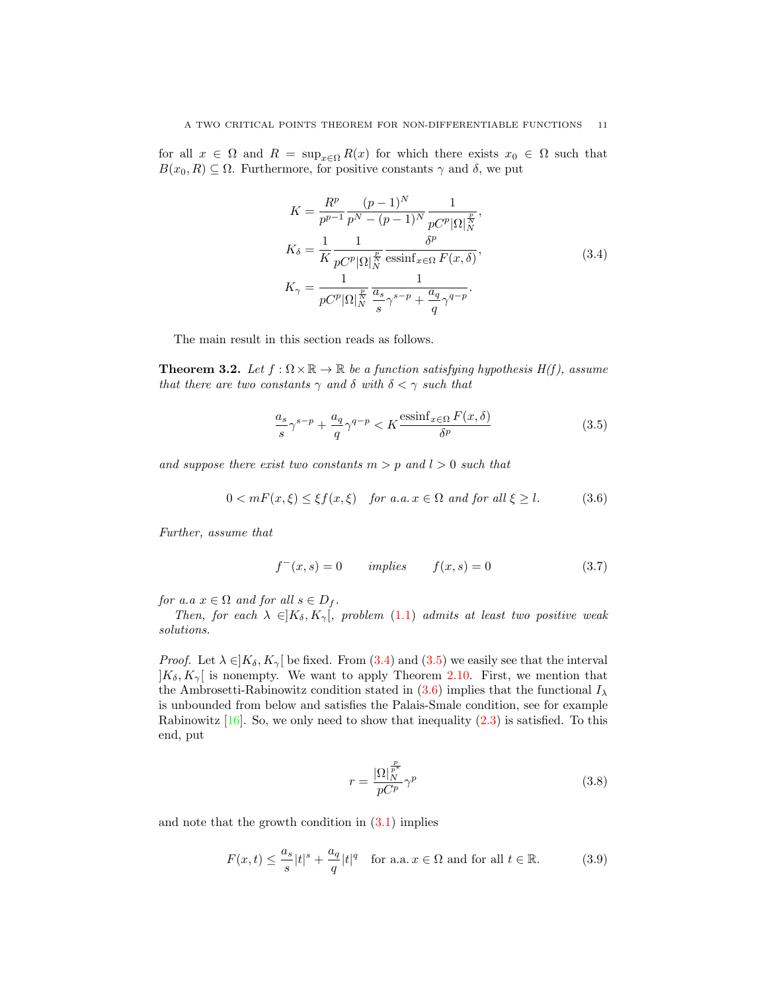for all  $x \in \Omega$  and  $R = \sup_{x \in \Omega} R(x)$  for which there exists  $x_0 \in \Omega$  such that  $B(x_0, R) \subseteq \Omega$ . Furthermore, for positive constants  $\gamma$  and  $\delta$ , we put

<span id="page-10-0"></span>
$$
K = \frac{R^p}{p^{p-1}} \frac{(p-1)^N}{p^N - (p-1)^N} \frac{1}{pC^p |\Omega|_N^{\frac{p}{N}}},
$$
  
\n
$$
K_{\delta} = \frac{1}{K} \frac{1}{pC^p |\Omega|_N^{\frac{p}{N}}} \frac{\delta^p}{\text{essinf}_{x \in \Omega} F(x, \delta)},
$$
  
\n
$$
K_{\gamma} = \frac{1}{pC^p |\Omega|_N^{\frac{p}{N}}} \frac{1}{\frac{a_s}{s} \gamma^{s-p} + \frac{a_q}{q} \gamma^{q-p}}.
$$
\n(3.4)

The main result in this section reads as follows.

<span id="page-10-6"></span>**Theorem 3.2.** Let  $f : \Omega \times \mathbb{R} \to \mathbb{R}$  be a function satisfying hypothesis  $H(f)$ , assume that there are two constants  $\gamma$  and  $\delta$  with  $\delta < \gamma$  such that

<span id="page-10-2"></span><span id="page-10-1"></span>
$$
\frac{a_s}{s}\gamma^{s-p} + \frac{a_q}{q}\gamma^{q-p} < K \frac{\text{essinf}_{x \in \Omega} F(x,\delta)}{\delta^p} \tag{3.5}
$$

and suppose there exist two constants  $m > p$  and  $l > 0$  such that

$$
0 < m(x,\xi) \le \xi f(x,\xi) \quad \text{for a.a. } x \in \Omega \text{ and for all } \xi \ge l. \tag{3.6}
$$

Further, assume that

<span id="page-10-5"></span>
$$
f^-(x,s) = 0 \qquad implies \qquad f(x,s) = 0 \tag{3.7}
$$

for a.a  $x \in \Omega$  and for all  $s \in D_f$ .

Then, for each  $\lambda \in ]K_\delta, K_\gamma[$ , problem [\(1.1\)](#page-0-0) admits at least two positive weak solutions.

*Proof.* Let  $\lambda \in K_{\delta}$ ,  $K_{\gamma}$  be fixed. From [\(3.4\)](#page-10-0) and [\(3.5\)](#page-10-1) we easily see that the interval  $|K_{\delta}, K_{\gamma}|$  is nonempty. We want to apply Theorem [2.10.](#page-6-0) First, we mention that the Ambrosetti-Rabinowitz condition stated in  $(3.6)$  implies that the functional  $I_{\lambda}$ is unbounded from below and satisfies the Palais-Smale condition, see for example Rabinowitz  $[16]$ . So, we only need to show that inequality  $(2.3)$  is satisfied. To this end, put

<span id="page-10-4"></span><span id="page-10-3"></span>
$$
r = \frac{|\Omega|_N^{\frac{p}{p^*}}}{pC^p} \gamma^p \tag{3.8}
$$

and note that the growth condition in  $(3.1)$  implies

$$
F(x,t) \le \frac{a_s}{s}|t|^s + \frac{a_q}{q}|t|^q \quad \text{for a.a. } x \in \Omega \text{ and for all } t \in \mathbb{R}.\tag{3.9}
$$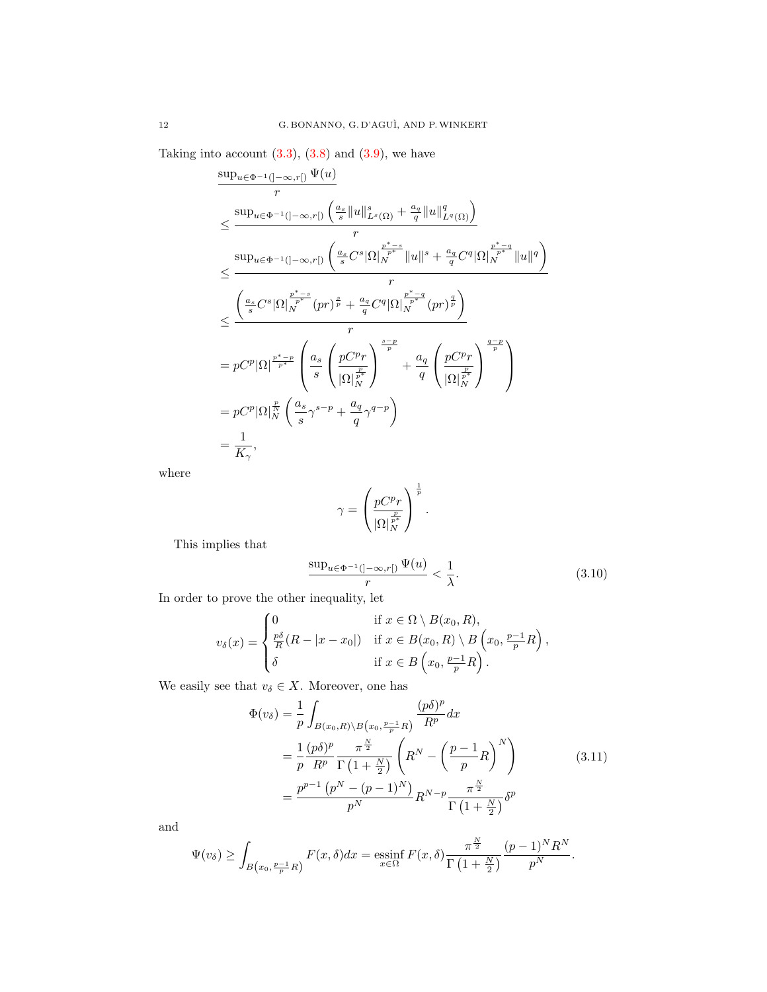Taking into account  $(3.3)$ ,  $(3.8)$  and  $(3.9)$ , we have

$$
\frac{\sup_{u\in\Phi^{-1}(]-\infty,r[)}\Psi(u)}{r}
$$
\n
$$
\leq \frac{\sup_{u\in\Phi^{-1}(-\infty,r[)}\left(\frac{a_s}{s}\|u\|_{L^s(\Omega)}^s + \frac{a_q}{q}\|u\|_{L^q(\Omega)}^q\right)}{r}
$$
\n
$$
\leq \frac{\sup_{u\in\Phi^{-1}(-\infty,r[)}\left(\frac{a_s}{s}C^s|\Omega|_N^{\frac{p^*-s}{p^*}}\|u\|^{s} + \frac{a_q}{q}C^q|\Omega|_N^{\frac{p^*-q}{p^*}}\|u\|^{q}\right)}{r}
$$
\n
$$
\leq \frac{\left(\frac{a_s}{s}C^s|\Omega|_N^{\frac{p^*-s}{p^*}}(pr)^{\frac{s}{p}} + \frac{a_q}{q}C^q|\Omega|_N^{\frac{p^*-q}{p^*}}(pr)^{\frac{q}{p}}\right)}{r}
$$
\n
$$
= pC^p|\Omega|^{\frac{p^*-p}{p^*}}\left(\frac{a_s}{s}\left(\frac{pC^pr}{|\Omega|_N^{\frac{p}{p^*}}}\right)^{\frac{s-p}{p}} + \frac{a_q}{q}\left(\frac{pC^pr}{|\Omega|_N^{\frac{p}{p^*}}}\right)^{\frac{q-p}{p}}\right)
$$
\n
$$
= pC^p|\Omega|_N^{\frac{p}{N}}\left(\frac{a_s}{s}\gamma^{s-p} + \frac{a_q}{q}\gamma^{q-p}\right)
$$
\n
$$
= \frac{1}{K_\gamma},
$$

where

<span id="page-11-0"></span>
$$
\gamma = \left(\frac{pC^pr}{|\Omega|_N^{\frac{p}{p^*}}}\right)^{\frac{1}{p}}.
$$

This implies that

<span id="page-11-1"></span>
$$
\frac{\sup_{u \in \Phi^{-1}(]-\infty, r[)} \Psi(u)}{r} < \frac{1}{\lambda}.\tag{3.10}
$$

In order to prove the other inequality, let

$$
v_{\delta}(x) = \begin{cases} 0 & \text{if } x \in \Omega \setminus B(x_0, R), \\ \frac{p\delta}{R}(R - |x - x_0|) & \text{if } x \in B(x_0, R) \setminus B\left(x_0, \frac{p-1}{p}R\right), \\ \delta & \text{if } x \in B\left(x_0, \frac{p-1}{p}R\right). \end{cases}
$$

We easily see that  $v_\delta \in X.$  Moreover, one has

$$
\Phi(v_{\delta}) = \frac{1}{p} \int_{B(x_0, R) \backslash B(x_0, \frac{p-1}{p}R)} \frac{(p\delta)^p}{R^p} dx
$$
  
\n
$$
= \frac{1}{p} \frac{(p\delta)^p}{R^p} \frac{\pi^{\frac{N}{2}}}{\Gamma(1 + \frac{N}{2})} \left( R^N - \left( \frac{p-1}{p} R \right)^N \right)
$$
  
\n
$$
= \frac{p^{p-1} (p^N - (p-1)^N)}{p^N} R^{N-p} \frac{\pi^{\frac{N}{2}}}{\Gamma(1 + \frac{N}{2})} \delta^p
$$
\n(3.11)

and

$$
\Psi(v_{\delta}) \geq \int_{B(x_0, \frac{p-1}{p}R)} F(x, \delta) dx = \operatorname*{essinf}_{x \in \Omega} F(x, \delta) \frac{\pi^{\frac{N}{2}}}{\Gamma(1 + \frac{N}{2})} \frac{(p-1)^N R^N}{p^N}.
$$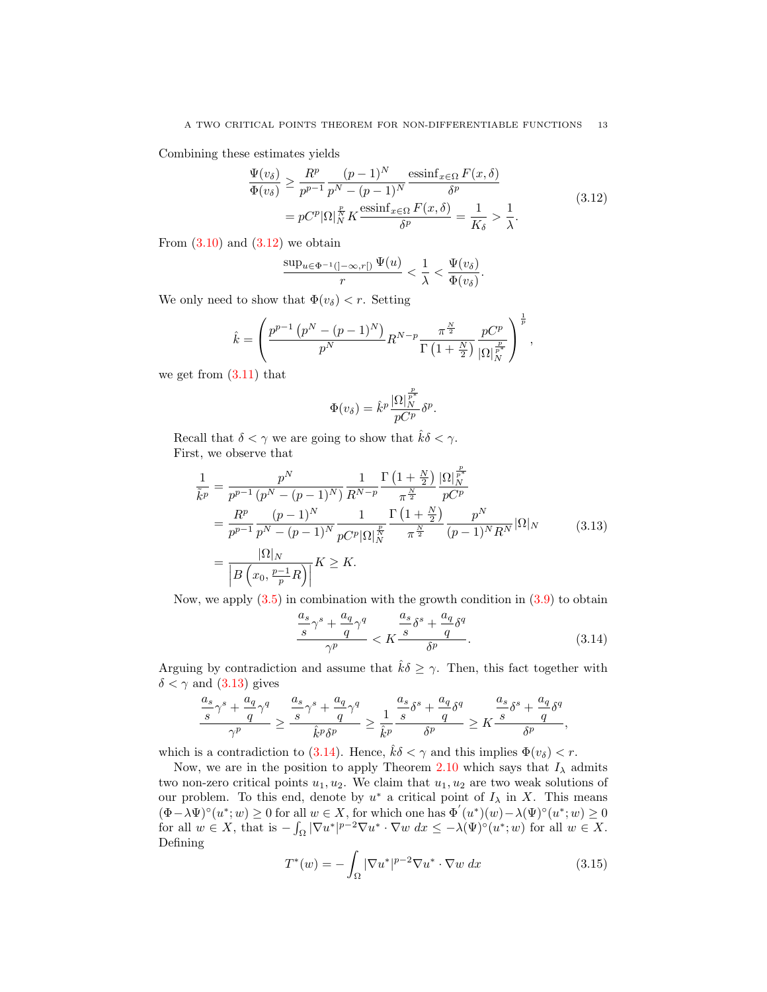Combining these estimates yields

$$
\frac{\Psi(v_{\delta})}{\Phi(v_{\delta})} \geq \frac{R^p}{p^{p-1}} \frac{(p-1)^N}{p^N - (p-1)^N} \frac{\operatorname{essinf}_{x \in \Omega} F(x, \delta)}{\delta^p} \n= p C^p |\Omega|_N^{\frac{p}{N}} K \frac{\operatorname{essinf}_{x \in \Omega} F(x, \delta)}{\delta^p} = \frac{1}{K_{\delta}} > \frac{1}{\lambda}.
$$
\n(3.12)

From  $(3.10)$  and  $(3.12)$  we obtain

<span id="page-12-0"></span>
$$
\frac{\sup_{u\in \Phi^{-1}(]-\infty,r[)}\Psi(u)}{r}<\frac{1}{\lambda}<\frac{\Psi(v_{\delta})}{\Phi(v_{\delta})}.
$$

We only need to show that  $\Phi(v_\delta) < r$ . Setting

$$
\hat{k} = \left(\frac{p^{p-1} (p^N - (p-1)^N)}{p^N} R^{N-p} \frac{\pi^{\frac{N}{2}}}{\Gamma(1 + \frac{N}{2})} \frac{p C^p}{|\Omega|_{N}^{\frac{p}{p^*}}}\right)^{\frac{1}{p}},
$$

we get from [\(3.11\)](#page-11-1) that

<span id="page-12-1"></span>
$$
\Phi(v_{\delta}) = \hat{k}^{p} \frac{|\Omega|_{N}^{\frac{p}{p^{*}}}}{pC^{p}} \delta^{p}.
$$

Recall that  $\delta < \gamma$  we are going to show that  $\hat{k}\delta < \gamma$ . First, we observe that

 $\overline{a}$ 

$$
\frac{1}{\tilde{k}^p} = \frac{p^N}{p^{p-1} (p^N - (p-1)^N)} \frac{1}{R^{N-p}} \frac{\Gamma\left(1 + \frac{N}{2}\right)}{\pi^{\frac{N}{2}}} \frac{|\Omega|_N^{\frac{p}{p^*}}}{pC^p}
$$
\n
$$
= \frac{R^p}{p^{p-1}} \frac{(p-1)^N}{p^N - (p-1)^N} \frac{1}{pC^p |\Omega|_N^{\frac{p}{N}}} \frac{\Gamma\left(1 + \frac{N}{2}\right)}{\pi^{\frac{N}{2}}} \frac{p^N}{(p-1)^N R^N} |\Omega|_N
$$
\n
$$
= \frac{|\Omega|_N}{\left|B\left(x_0, \frac{p-1}{p}R\right)\right|} K \ge K.
$$
\n(3.13)

Now, we apply  $(3.5)$  in combination with the growth condition in  $(3.9)$  to obtain

<span id="page-12-2"></span>
$$
\frac{\frac{a_s}{s}\gamma^s + \frac{a_q}{q}\gamma^q}{\gamma^p} < K \frac{\frac{a_s}{s}\delta^s + \frac{a_q}{q}\delta^q}{\delta^p}.\tag{3.14}
$$

Arguing by contradiction and assume that  $\hat{k}\delta \geq \gamma$ . Then, this fact together with  $\delta < \gamma$  and [\(3.13\)](#page-12-1) gives

$$
\frac{\frac{a_s}{s}\gamma^s + \frac{a_q}{q}\gamma^q}{\gamma^p} \geq \frac{\frac{a_s}{s}\gamma^s + \frac{a_q}{q}\gamma^q}{\hat{k}^p\delta^p} \geq \frac{1}{\hat{k}^p}\frac{\frac{a_s}{s}\delta^s + \frac{a_q}{q}\delta^q}{\delta^p} \geq K\frac{\frac{a_s}{s}\delta^s + \frac{a_q}{q}\delta^q}{\delta^p},
$$

which is a contradiction to [\(3.14\)](#page-12-2). Hence,  $\hat{k}\delta < \gamma$  and this implies  $\Phi(v_\delta) < r$ .

Now, we are in the position to apply Theorem [2.10](#page-6-0) which says that  $I_{\lambda}$  admits two non-zero critical points  $u_1, u_2$ . We claim that  $u_1, u_2$  are two weak solutions of our problem. To this end, denote by  $u^*$  a critical point of  $I_\lambda$  in X. This means  $(\Phi - \lambda \Psi) \circ (u^*; w) \geq 0$  for all  $w \in X$ , for which one has  $\Phi'(u^*)(w) - \lambda(\Psi) \circ (u^*; w) \geq 0$ for all  $w \in X$ , that is  $-\int_{\Omega} |\nabla u^*|^{p-2} \nabla u^* \cdot \nabla w \, dx \leq -\lambda(\Psi)^{\circ}(u^*; w)$  for all  $w \in X$ . Defining

<span id="page-12-3"></span>
$$
T^*(w) = -\int_{\Omega} |\nabla u^*|^{p-2} \nabla u^* \cdot \nabla w \, dx \tag{3.15}
$$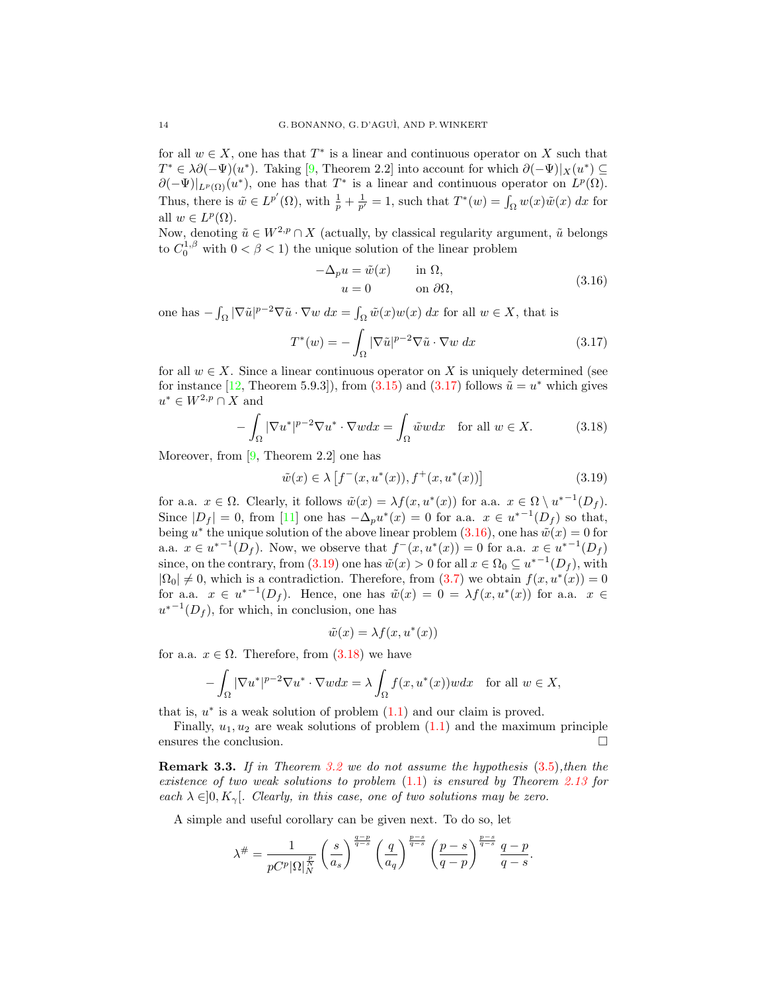for all  $w \in X$ , one has that  $T^*$  is a linear and continuous operator on X such that  $T^* \in \lambda \partial (-\Psi)(u^*)$ . Taking [\[9,](#page-15-10) Theorem 2.2] into account for which  $\partial (-\Psi)|_X(u^*) \subseteq$  $\partial(-\Psi)|_{L^p(\Omega)}(u^*)$ , one has that  $T^*$  is a linear and continuous operator on  $L^p(\Omega)$ . Thus, there is  $\tilde{w} \in L^{p'}(\Omega)$ , with  $\frac{1}{p} + \frac{1}{p'} = 1$ , such that  $T^*(w) = \int_{\Omega} w(x)\tilde{w}(x) dx$  for all  $w \in L^p(\Omega)$ .

Now, denoting  $\tilde{u} \in W^{2,p} \cap X$  (actually, by classical regularity argument,  $\tilde{u}$  belongs to  $C_0^{1,\beta}$  with  $0 < \beta < 1$ ) the unique solution of the linear problem

<span id="page-13-1"></span>
$$
-\Delta_p u = \tilde{w}(x) \qquad \text{in } \Omega,
$$
  
\n
$$
u = 0 \qquad \text{on } \partial\Omega,
$$
\n(3.16)

one has  $-\int_{\Omega} |\nabla \tilde{u}|^{p-2} \nabla \tilde{u} \cdot \nabla w \, dx = \int_{\Omega} \tilde{w}(x)w(x) \, dx$  for all  $w \in X$ , that is

<span id="page-13-0"></span>
$$
T^*(w) = -\int_{\Omega} |\nabla \tilde{u}|^{p-2} \nabla \tilde{u} \cdot \nabla w \, dx \qquad (3.17)
$$

for all  $w \in X$ . Since a linear continuous operator on X is uniquely determined (see for instance [\[12,](#page-15-13) Theorem 5.9.3]), from  $(3.15)$  and  $(3.17)$  follows  $\tilde{u} = u^*$  which gives  $u^* \in W^{2,p} \cap X$  and

<span id="page-13-3"></span>
$$
-\int_{\Omega} |\nabla u^*|^{p-2} \nabla u^* \cdot \nabla w dx = \int_{\Omega} \tilde{w}w dx \quad \text{for all } w \in X.
$$
 (3.18)

Moreover, from [\[9,](#page-15-10) Theorem 2.2] one has

<span id="page-13-2"></span>
$$
\tilde{w}(x) \in \lambda \left[ f^-(x, u^*(x)), f^+(x, u^*(x)) \right] \tag{3.19}
$$

for a.a.  $x \in \Omega$ . Clearly, it follows  $\tilde{w}(x) = \lambda f(x, u^*(x))$  for a.a.  $x \in \Omega \setminus u^{*-1}(D_f)$ . Since  $|D_f| = 0$ , from [\[11\]](#page-15-14) one has  $-\Delta_p u^*(x) = 0$  for a.a.  $x \in u^{*-1}(D_f)$  so that, being u<sup>\*</sup> the unique solution of the above linear problem  $(3.16)$ , one has  $\tilde{w}(x) = 0$  for a.a.  $x \in u^{*-1}(D_f)$ . Now, we observe that  $f^-(x, u^*(x)) = 0$  for a.a.  $x \in u^{*-1}(D_f)$ since, on the contrary, from [\(3.19\)](#page-13-2) one has  $\tilde{w}(x) > 0$  for all  $x \in \Omega_0 \subseteq u^{*-1}(D_f)$ , with  $|\Omega_0| \neq 0$ , which is a contradiction. Therefore, from  $(3.7)$  we obtain  $f(x, u^*(x)) = 0$ for a.a.  $x \in u^{*-1}(D_f)$ . Hence, one has  $\tilde{w}(x) = 0 = \lambda f(x, u^*(x))$  for a.a.  $x \in$  $u^{*-1}(D_f)$ , for which, in conclusion, one has

$$
\tilde{w}(x) = \lambda f(x, u^*(x))
$$

for a.a.  $x \in \Omega$ . Therefore, from  $(3.18)$  we have

$$
-\int_{\Omega} |\nabla u^*|^{p-2} \nabla u^* \cdot \nabla w dx = \lambda \int_{\Omega} f(x, u^*(x))w dx \text{ for all } w \in X,
$$

that is,  $u^*$  is a weak solution of problem  $(1.1)$  and our claim is proved.

Finally,  $u_1, u_2$  are weak solutions of problem  $(1.1)$  and the maximum principle ensures the conclusion.  $\Box$ 

**Remark 3.3.** If in Theorem [3.2](#page-10-6) we do not assume the hypothesis  $(3.5)$ , then the existence of two weak solutions to problem  $(1.1)$  is ensured by Theorem [2.13](#page-8-1) for each  $\lambda \in ]0, K_{\gamma}].$  Clearly, in this case, one of two solutions may be zero.

A simple and useful corollary can be given next. To do so, let

$$
\lambda^{\#} = \frac{1}{pC^p |\Omega|_N^{\frac{p}{N}}} \left(\frac{s}{a_s}\right)^{\frac{q-p}{q-s}} \left(\frac{q}{a_q}\right)^{\frac{p-s}{q-s}} \left(\frac{p-s}{q-p}\right)^{\frac{p-s}{q-s}} \frac{q-p}{q-s}.
$$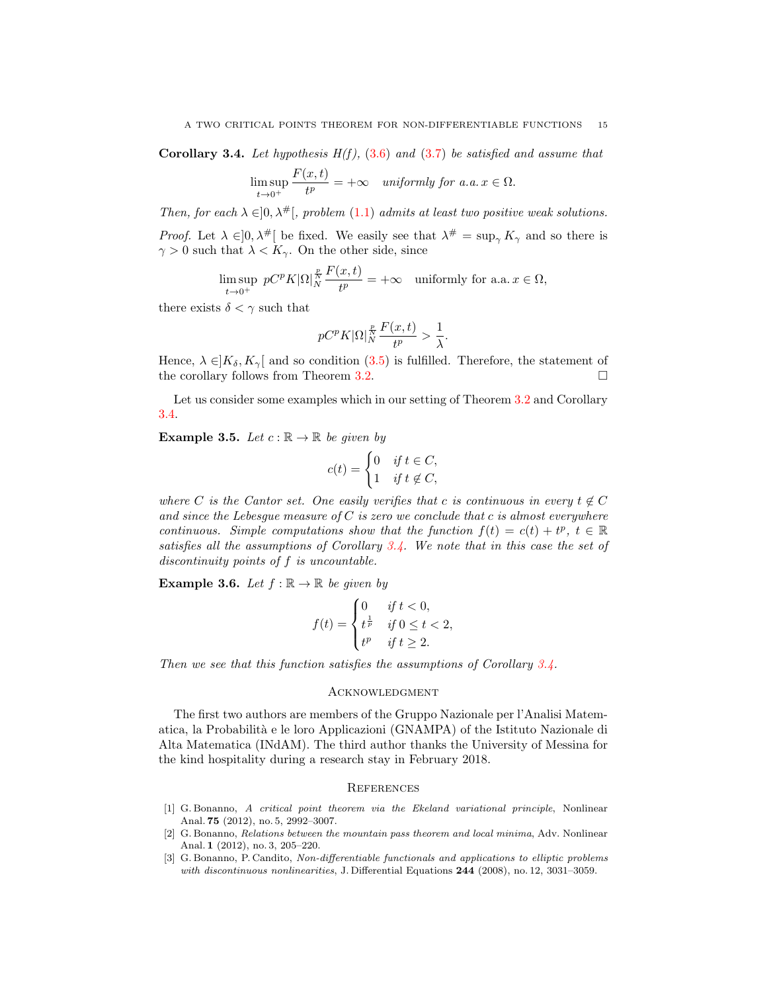<span id="page-14-3"></span>Corollary 3.4. Let hypothesis  $H(f)$ , [\(3.6\)](#page-10-2) and [\(3.7\)](#page-10-5) be satisfied and assume that

$$
\limsup_{t \to 0^+} \frac{F(x,t)}{t^p} = +\infty \quad \text{uniformly for a.a. } x \in \Omega.
$$

Then, for each  $\lambda \in ]0, \lambda^{\#}[,$  problem [\(1.1\)](#page-0-0) admits at least two positive weak solutions. *Proof.* Let  $\lambda \in ]0, \lambda^{\#}[$  be fixed. We easily see that  $\lambda^{\#} = \sup_{\gamma} K_{\gamma}$  and so there is  $\gamma > 0$  such that  $\lambda < K_{\gamma}$ . On the other side, since

$$
\limsup_{t \to 0^+} pC^p K |\Omega|_N^{\frac{p}{N}} \frac{F(x,t)}{t^p} = +\infty \quad \text{uniformly for a.a. } x \in \Omega,
$$

there exists  $\delta < \gamma$  such that

$$
pC^pK|\Omega|_N^{\frac{p}{N}}\frac{F(x,t)}{t^p}>\frac{1}{\lambda}.
$$

Hence,  $\lambda \in K_{\delta}$ ,  $K_{\gamma}$  and so condition [\(3.5\)](#page-10-1) is fulfilled. Therefore, the statement of the corollary follows from Theorem [3.2.](#page-10-6)

Let us consider some examples which in our setting of Theorem [3.2](#page-10-6) and Corollary [3.4.](#page-14-3)

**Example 3.5.** Let  $c : \mathbb{R} \to \mathbb{R}$  be given by

$$
c(t) = \begin{cases} 0 & \text{if } t \in C, \\ 1 & \text{if } t \notin C, \end{cases}
$$

where C is the Cantor set. One easily verifies that c is continuous in every  $t \notin C$ and since the Lebesgue measure of  $C$  is zero we conclude that c is almost everywhere continuous. Simple computations show that the function  $f(t) = c(t) + t^p$ ,  $t \in \mathbb{R}$ satisfies all the assumptions of Corollary [3.4.](#page-14-3) We note that in this case the set of discontinuity points of f is uncountable.

**Example 3.6.** Let  $f : \mathbb{R} \to \mathbb{R}$  be given by

$$
f(t) = \begin{cases} 0 & \text{if } t < 0, \\ t^{\frac{1}{p}} & \text{if } 0 \le t < 2, \\ t^p & \text{if } t \ge 2. \end{cases}
$$

Then we see that this function satisfies the assumptions of Corollary [3.4.](#page-14-3)

## **ACKNOWLEDGMENT**

The first two authors are members of the Gruppo Nazionale per l'Analisi Matematica, la Probabilit`a e le loro Applicazioni (GNAMPA) of the Istituto Nazionale di Alta Matematica (INdAM). The third author thanks the University of Messina for the kind hospitality during a research stay in February 2018.

## **REFERENCES**

- <span id="page-14-1"></span>[1] G. Bonanno, A critical point theorem via the Ekeland variational principle, Nonlinear Anal. 75 (2012), no. 5, 2992–3007.
- <span id="page-14-2"></span>[2] G. Bonanno, Relations between the mountain pass theorem and local minima, Adv. Nonlinear Anal. 1 (2012), no. 3, 205–220.
- <span id="page-14-0"></span>[3] G. Bonanno, P. Candito, Non-differentiable functionals and applications to elliptic problems with discontinuous nonlinearities, J. Differential Equations 244 (2008), no. 12, 3031–3059.